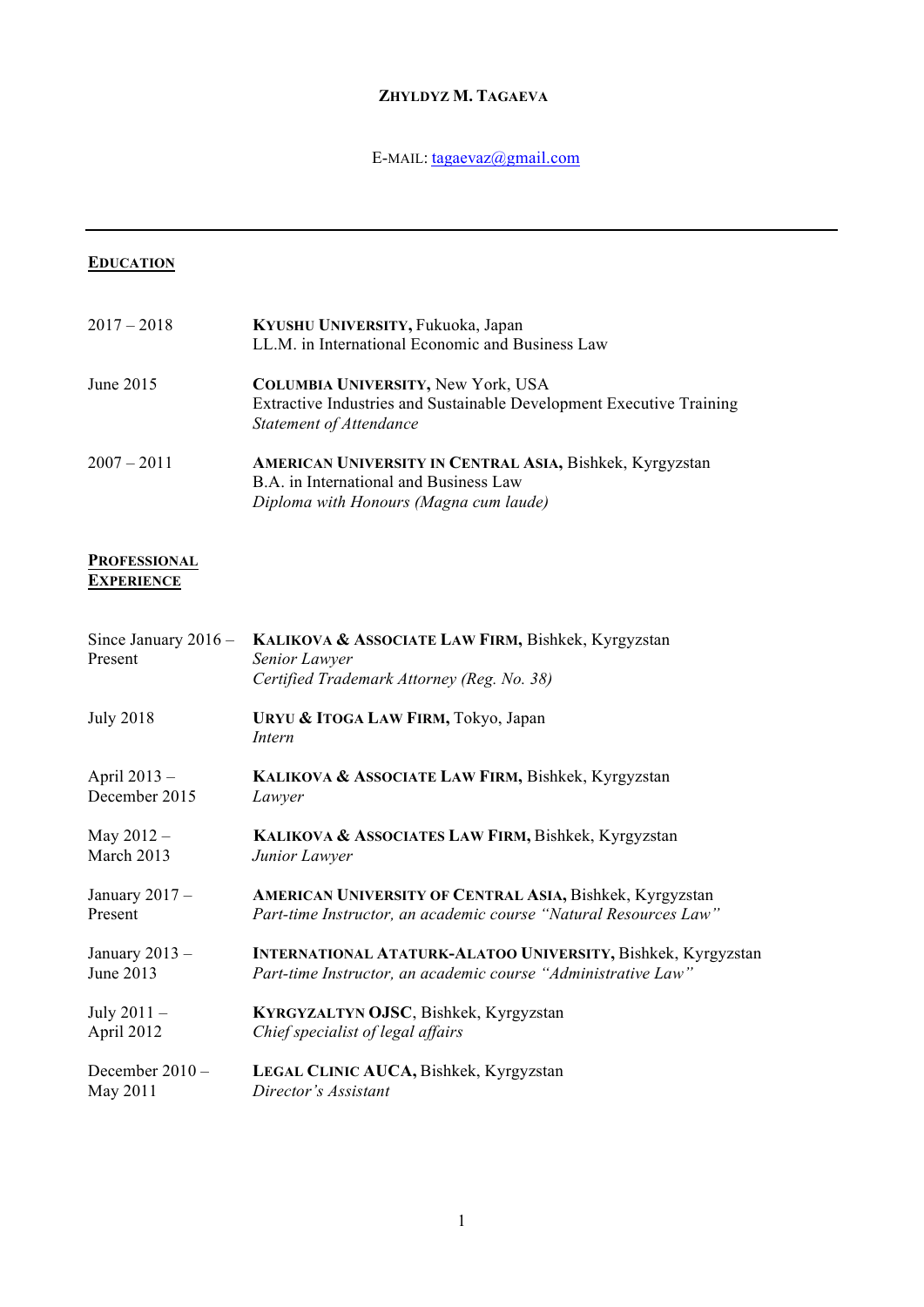## **ZHYLDYZ M. TAGAEVA**

# E-MAIL: tagaevaz@gmail.com

## **EDUCATION**

| $2017 - 2018$ | KYUSHU UNIVERSITY, Fukuoka, Japan                                    |
|---------------|----------------------------------------------------------------------|
|               | LL.M. in International Economic and Business Law                     |
| June 2015     | <b>COLUMBIA UNIVERSITY, New York, USA</b>                            |
|               | Extractive Industries and Sustainable Development Executive Training |
|               | Statement of Attendance                                              |
| $2007 - 2011$ | AMERICAN UNIVERSITY IN CENTRAL ASIA, Bishkek, Kyrgyzstan             |
|               | B.A. in International and Business Law                               |
|               | Diploma with Honours (Magna cum laude)                               |

#### **PROFESSIONAL EXPERIENCE**

| Since January $2016 -$<br>Present | KALIKOVA & ASSOCIATE LAW FIRM, Bishkek, Kyrgyzstan<br>Senior Lawyer<br>Certified Trademark Attorney (Reg. No. 38) |
|-----------------------------------|-------------------------------------------------------------------------------------------------------------------|
| <b>July 2018</b>                  | URYU & ITOGA LAW FIRM, Tokyo, Japan<br>Intern                                                                     |
| April 2013 -                      | KALIKOVA & ASSOCIATE LAW FIRM, Bishkek, Kyrgyzstan                                                                |
| December 2015                     | Lawyer                                                                                                            |
| May $2012 -$                      | KALIKOVA & ASSOCIATES LAW FIRM, Bishkek, Kyrgyzstan                                                               |
| March 2013                        | Junior Lawyer                                                                                                     |
| January $2017 -$                  | <b>AMERICAN UNIVERSITY OF CENTRAL ASIA, Bishkek, Kyrgyzstan</b>                                                   |
| Present                           | Part-time Instructor, an academic course "Natural Resources Law"                                                  |
| January $2013 -$                  | <b>INTERNATIONAL ATATURK-ALATOO UNIVERSITY, Bishkek, Kyrgyzstan</b>                                               |
| June 2013                         | Part-time Instructor, an academic course "Administrative Law"                                                     |
| July $2011 -$                     | KYRGYZALTYN OJSC, Bishkek, Kyrgyzstan                                                                             |
| April 2012                        | Chief specialist of legal affairs                                                                                 |
| December 2010 -                   | LEGAL CLINIC AUCA, Bishkek, Kyrgyzstan                                                                            |
| May 2011                          | Director's Assistant                                                                                              |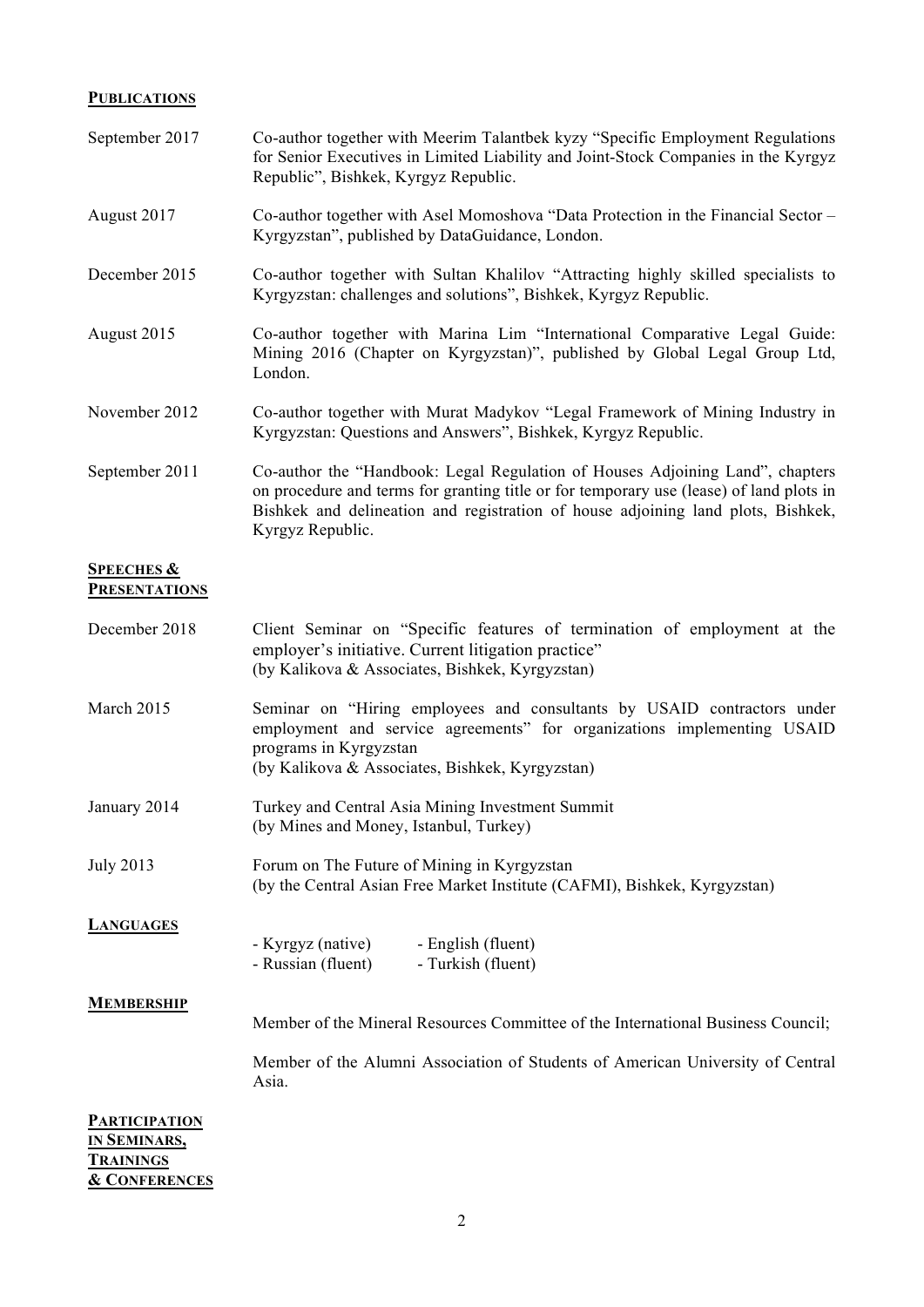### **PUBLICATIONS**

| September 2017                                | Co-author together with Meerim Talantbek kyzy "Specific Employment Regulations"<br>for Senior Executives in Limited Liability and Joint-Stock Companies in the Kyrgyz<br>Republic", Bishkek, Kyrgyz Republic.                                                                    |
|-----------------------------------------------|----------------------------------------------------------------------------------------------------------------------------------------------------------------------------------------------------------------------------------------------------------------------------------|
| August 2017                                   | Co-author together with Asel Momoshova "Data Protection in the Financial Sector -<br>Kyrgyzstan", published by DataGuidance, London.                                                                                                                                             |
| December 2015                                 | Co-author together with Sultan Khalilov "Attracting highly skilled specialists to<br>Kyrgyzstan: challenges and solutions", Bishkek, Kyrgyz Republic.                                                                                                                            |
| August 2015                                   | Co-author together with Marina Lim "International Comparative Legal Guide:<br>Mining 2016 (Chapter on Kyrgyzstan)", published by Global Legal Group Ltd,<br>London.                                                                                                              |
| November 2012                                 | Co-author together with Murat Madykov "Legal Framework of Mining Industry in<br>Kyrgyzstan: Questions and Answers", Bishkek, Kyrgyz Republic.                                                                                                                                    |
| September 2011                                | Co-author the "Handbook: Legal Regulation of Houses Adjoining Land", chapters<br>on procedure and terms for granting title or for temporary use (lease) of land plots in<br>Bishkek and delineation and registration of house adjoining land plots, Bishkek,<br>Kyrgyz Republic. |
| <b>SPEECHES &amp;</b><br><b>PRESENTATIONS</b> |                                                                                                                                                                                                                                                                                  |
| December 2018                                 | Client Seminar on "Specific features of termination of employment at the<br>employer's initiative. Current litigation practice"<br>(by Kalikova & Associates, Bishkek, Kyrgyzstan)                                                                                               |
| March 2015                                    | Seminar on "Hiring employees and consultants by USAID contractors under<br>employment and service agreements" for organizations implementing USAID<br>programs in Kyrgyzstan<br>(by Kalikova & Associates, Bishkek, Kyrgyzstan)                                                  |
| January 2014                                  | Turkey and Central Asia Mining Investment Summit<br>(by Mines and Money, Istanbul, Turkey)                                                                                                                                                                                       |
| <b>July 2013</b>                              | Forum on The Future of Mining in Kyrgyzstan<br>(by the Central Asian Free Market Institute (CAFMI), Bishkek, Kyrgyzstan)                                                                                                                                                         |
| <b>LANGUAGES</b>                              | - Kyrgyz (native)<br>- English (fluent)<br>- Russian (fluent)<br>- Turkish (fluent)                                                                                                                                                                                              |
| <b>MEMBERSHIP</b>                             | Member of the Mineral Resources Committee of the International Business Council;                                                                                                                                                                                                 |
|                                               | Member of the Alumni Association of Students of American University of Central<br>Asia.                                                                                                                                                                                          |
|                                               |                                                                                                                                                                                                                                                                                  |

**PARTICIPATION IN SEMINARS, TRAININGS & CONFERENCES**